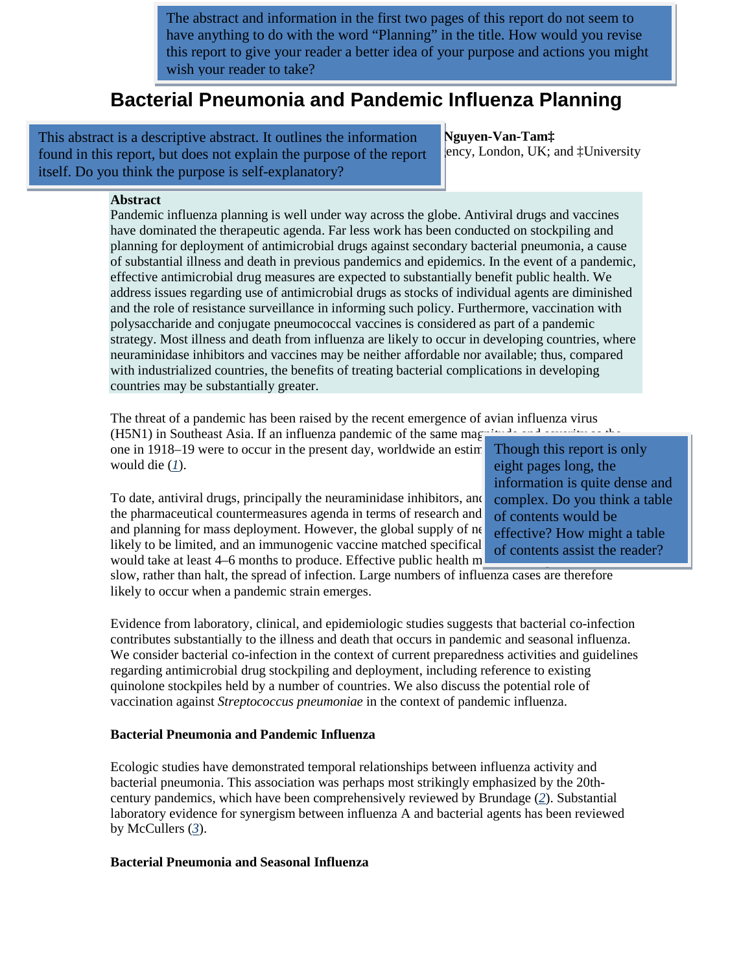The abstract and information in the first two pages of this report do not seem to have anything to do with the word "Planning" in the title. How would you revise this report to give your reader a better idea of your purpose and actions you might wish your reader to take?

# **Bacterial Pneumonia and Pandemic Influenza Planning**

This abstract is a descriptive abstract. It outlines the information Nguyen-Van-Tam‡ found in this report, but does not explain the purpose of the report ency, London, UK; and ‡University itself. Do you think the purpose is self-explanatory?

#### **Abstract**

Pandemic influenza planning is well under way across the globe. Antiviral drugs and vaccines have dominated the therapeutic agenda. Far less work has been conducted on stockpiling and planning for deployment of antimicrobial drugs against secondary bacterial pneumonia, a cause of substantial illness and death in previous pandemics and epidemics. In the event of a pandemic, effective antimicrobial drug measures are expected to substantially benefit public health. We address issues regarding use of antimicrobial drugs as stocks of individual agents are diminished and the role of resistance surveillance in informing such policy. Furthermore, vaccination with polysaccharide and conjugate pneumococcal vaccines is considered as part of a pandemic strategy. Most illness and death from influenza are likely to occur in developing countries, where neuraminidase inhibitors and vaccines may be neither affordable nor available; thus, compared with industrialized countries, the benefits of treating bacterial complications in developing countries may be substantially greater.

The threat of a pandemic has been raised by the recent emergence of avian influenza virus  $(15511)$  in Southeast Asia. If an influenza pandamic of the same mass is the set of the set of the set of the set of the set of th

 $(H5N1)$  in Southeast Asia. If an influenza pandemic of the same mag one in  $1918-19$  were to occur in the present day, worldwide an estimate would die  $(I)$ .

To date, antiviral drugs, principally the neuraminidase inhibitors, and the pharmaceutical countermeasures agenda in terms of research and and planning for mass deployment. However, the global supply of ne likely to be limited, and an immunogenic vaccine matched specifical would take at least  $4-6$  months to produce. Effective public health m

Though this report is only eight pages long, the information is quite dense and complex. Do you think a table of contents would be effective? How might a table of contents assist the reader?

slow, rather than halt, the spread of infection. Large numbers of influenza cases are therefore likely to occur when a pandemic strain emerges.

Evidence from laboratory, clinical, and epidemiologic studies suggests that bacterial co-infection contributes substantially to the illness and death that occurs in pandemic and seasonal influenza. We consider bacterial co-infection in the context of current preparedness activities and guidelines regarding antimicrobial drug stockpiling and deployment, including reference to existing quinolone stockpiles held by a number of countries. We also discuss the potential role of vaccination against *Streptococcus pneumoniae* in the context of pandemic influenza.

#### **Bacterial Pneumonia and Pandemic Influenza**

Ecologic studies have demonstrated temporal relationships between influenza activity and bacterial pneumonia. This association was perhaps most strikingly emphasized by the 20thcentury pandemics, which have been comprehensively reviewed by Brundage (*[2](http://www.cdc.gov/eid/content/14/8/1187.htm#1#1)*). Substantial laboratory evidence for synergism between influenza A and bacterial agents has been reviewed by McCullers (*[3](http://www.cdc.gov/eid/content/14/8/1187.htm#1#1)*).

## **Bacterial Pneumonia and Seasonal Influenza**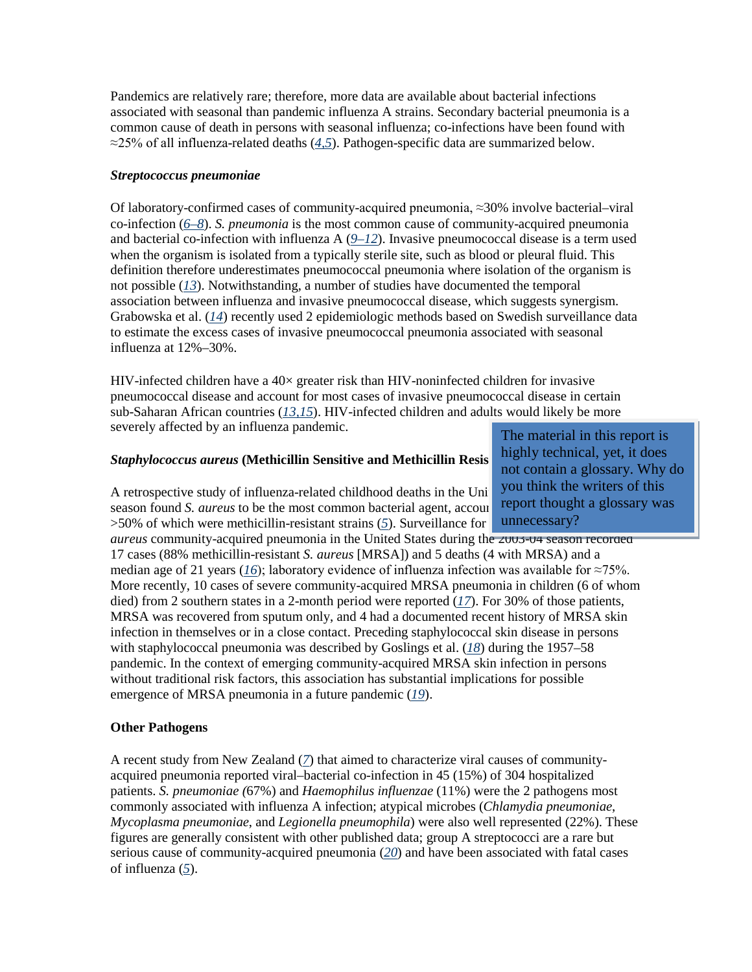Pandemics are relatively rare; therefore, more data are available about bacterial infections associated with seasonal than pandemic influenza A strains. Secondary bacterial pneumonia is a common cause of death in persons with seasonal influenza; co-infections have been found with ≈25% of all influenza-related deaths (*[4,5](http://www.cdc.gov/eid/content/14/8/1187.htm#1#1)*). Pathogen-specific data are summarized below.

#### *Streptococcus pneumoniae*

Of laboratory-confirmed cases of community-acquired pneumonia, ≈30% involve bacterial–viral co-infection (*[6–8](http://www.cdc.gov/eid/content/14/8/1187.htm#1#1)*). *S. pneumonia* is the most common cause of community-acquired pneumonia and bacterial co-infection with influenza A (*[9–12](http://www.cdc.gov/eid/content/14/8/1187.htm#1#1)*). Invasive pneumococcal disease is a term used when the organism is isolated from a typically sterile site, such as blood or pleural fluid. This definition therefore underestimates pneumococcal pneumonia where isolation of the organism is not possible (*[13](http://www.cdc.gov/eid/content/14/8/1187.htm#11#11)*). Notwithstanding, a number of studies have documented the temporal association between influenza and invasive pneumococcal disease, which suggests synergism. Grabowska et al. (*[14](http://www.cdc.gov/eid/content/14/8/1187.htm#11#11)*) recently used 2 epidemiologic methods based on Swedish surveillance data to estimate the excess cases of invasive pneumococcal pneumonia associated with seasonal influenza at 12%–30%.

HIV-infected children have a  $40\times$  greater risk than HIV-noninfected children for invasive pneumococcal disease and account for most cases of invasive pneumococcal disease in certain sub-Saharan African countries (*[13,15](http://www.cdc.gov/eid/content/14/8/1187.htm#11#11)*). HIV-infected children and adults would likely be more severely affected by an influenza pandemic.

#### **Staphylococcus aureus (Methicillin Sensitive and Methicillin Resis**

A retrospective study of influenza-related childhood deaths in the Uni season found *S. aureus* to be the most common bacterial agent, accounting for the 4.4 and  $\sigma$ >[5](http://www.cdc.gov/eid/content/14/8/1187.htm#1#1)0% of which were methicillin-resistant strains (5). Surveillance for

*aureus* community-acquired pneumonia in the United States during the 2003-04 season recorded 17 cases (88% methicillin-resistant *S. aureus* [MRSA]) and 5 deaths (4 with MRSA) and a median age of 21 years ( $16$ ); laboratory evidence of influenza infection was available for ≈75%. More recently, 10 cases of severe community-acquired MRSA pneumonia in children (6 of whom died) from 2 southern states in a 2-month period were reported (*[17](http://www.cdc.gov/eid/content/14/8/1187.htm#11#11)*). For 30% of those patients, MRSA was recovered from sputum only, and 4 had a documented recent history of MRSA skin infection in themselves or in a close contact. Preceding staphylococcal skin disease in persons with staphylococcal pneumonia was described by Goslings et al. (*[18](http://www.cdc.gov/eid/content/14/8/1187.htm#11#11)*) during the 1957–58 pandemic. In the context of emerging community-acquired MRSA skin infection in persons without traditional risk factors, this association has substantial implications for possible emergence of MRSA pneumonia in a future pandemic (*[19](http://www.cdc.gov/eid/content/14/8/1187.htm#11#11)*).

## **Other Pathogens**

A recent study from New Zealand (*[7](http://www.cdc.gov/eid/content/14/8/1187.htm#1#1)*) that aimed to characterize viral causes of communityacquired pneumonia reported viral–bacterial co-infection in 45 (15%) of 304 hospitalized patients. *S. pneumoniae (*67%) and *Haemophilus influenzae* (11%) were the 2 pathogens most commonly associated with influenza A infection; atypical microbes (*Chlamydia pneumoniae*, *Mycoplasma pneumoniae*, and *Legionella pneumophila*) were also well represented (22%). These figures are generally consistent with other published data; group A streptococci are a rare but serious cause of community-acquired pneumonia (*[20](http://www.cdc.gov/eid/content/14/8/1187.htm#11#11)*) and have been associated with fatal cases of influenza (*[5](http://www.cdc.gov/eid/content/14/8/1187.htm#1#1)*).

The material in this report is highly technical, yet, it does not contain a glossary. Why do you think the writers of this report thought a glossary was unnecessary?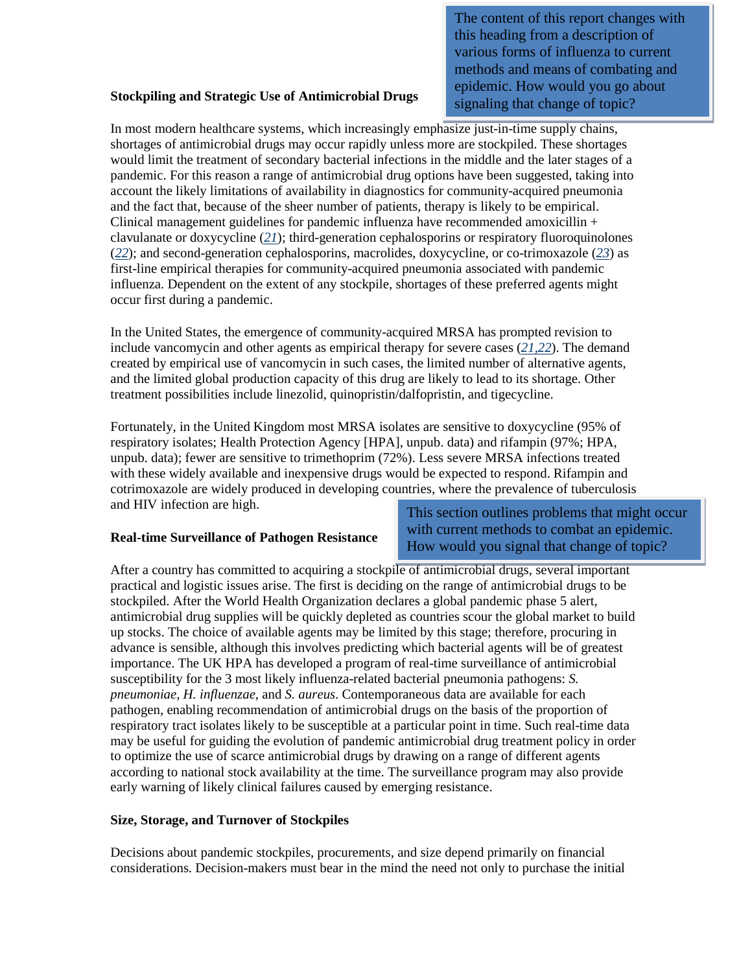The content of this report changes with this heading from a description of various forms of influenza to current methods and means of combating and epidemic. How would you go about signaling that change of topic?

#### **Stockpiling and Strategic Use of Antimicrobial Drugs**

In most modern healthcare systems, which increasingly emphasize just-in-time supply chains, shortages of antimicrobial drugs may occur rapidly unless more are stockpiled. These shortages would limit the treatment of secondary bacterial infections in the middle and the later stages of a pandemic. For this reason a range of antimicrobial drug options have been suggested, taking into account the likely limitations of availability in diagnostics for community-acquired pneumonia and the fact that, because of the sheer number of patients, therapy is likely to be empirical. Clinical management guidelines for pandemic influenza have recommended amoxicillin + clavulanate or doxycycline (*[21](http://www.cdc.gov/eid/content/14/8/1187.htm#21#21)*); third-generation cephalosporins or respiratory fluoroquinolones (*[22](http://www.cdc.gov/eid/content/14/8/1187.htm#21#21)*); and second-generation cephalosporins, macrolides, doxycycline, or co-trimoxazole (*[23](http://www.cdc.gov/eid/content/14/8/1187.htm#21#21)*) as first-line empirical therapies for community-acquired pneumonia associated with pandemic influenza. Dependent on the extent of any stockpile, shortages of these preferred agents might occur first during a pandemic.

In the United States, the emergence of community-acquired MRSA has prompted revision to include vancomycin and other agents as empirical therapy for severe cases (*[21,22](http://www.cdc.gov/eid/content/14/8/1187.htm#21#21)*). The demand created by empirical use of vancomycin in such cases, the limited number of alternative agents, and the limited global production capacity of this drug are likely to lead to its shortage. Other treatment possibilities include linezolid, quinopristin/dalfopristin, and tigecycline.

Fortunately, in the United Kingdom most MRSA isolates are sensitive to doxycycline (95% of respiratory isolates; Health Protection Agency [HPA], unpub. data) and rifampin (97%; HPA, unpub. data); fewer are sensitive to trimethoprim (72%). Less severe MRSA infections treated with these widely available and inexpensive drugs would be expected to respond. Rifampin and cotrimoxazole are widely produced in developing countries, where the prevalence of tuberculosis and HIV infection are high.

## **Real-time Surveillance of Pathogen Resistance**

This section outlines problems that might occur with current methods to combat an epidemic. How would you signal that change of topic?

After a country has committed to acquiring a stockpile of antimicrobial drugs, several important practical and logistic issues arise. The first is deciding on the range of antimicrobial drugs to be stockpiled. After the World Health Organization declares a global pandemic phase 5 alert, antimicrobial drug supplies will be quickly depleted as countries scour the global market to build up stocks. The choice of available agents may be limited by this stage; therefore, procuring in advance is sensible, although this involves predicting which bacterial agents will be of greatest importance. The UK HPA has developed a program of real-time surveillance of antimicrobial susceptibility for the 3 most likely influenza-related bacterial pneumonia pathogens: *S. pneumoniae*, *H. influenzae*, and *S. aureus*. Contemporaneous data are available for each pathogen, enabling recommendation of antimicrobial drugs on the basis of the proportion of respiratory tract isolates likely to be susceptible at a particular point in time. Such real-time data may be useful for guiding the evolution of pandemic antimicrobial drug treatment policy in order to optimize the use of scarce antimicrobial drugs by drawing on a range of different agents according to national stock availability at the time. The surveillance program may also provide early warning of likely clinical failures caused by emerging resistance.

## **Size, Storage, and Turnover of Stockpiles**

Decisions about pandemic stockpiles, procurements, and size depend primarily on financial considerations. Decision-makers must bear in the mind the need not only to purchase the initial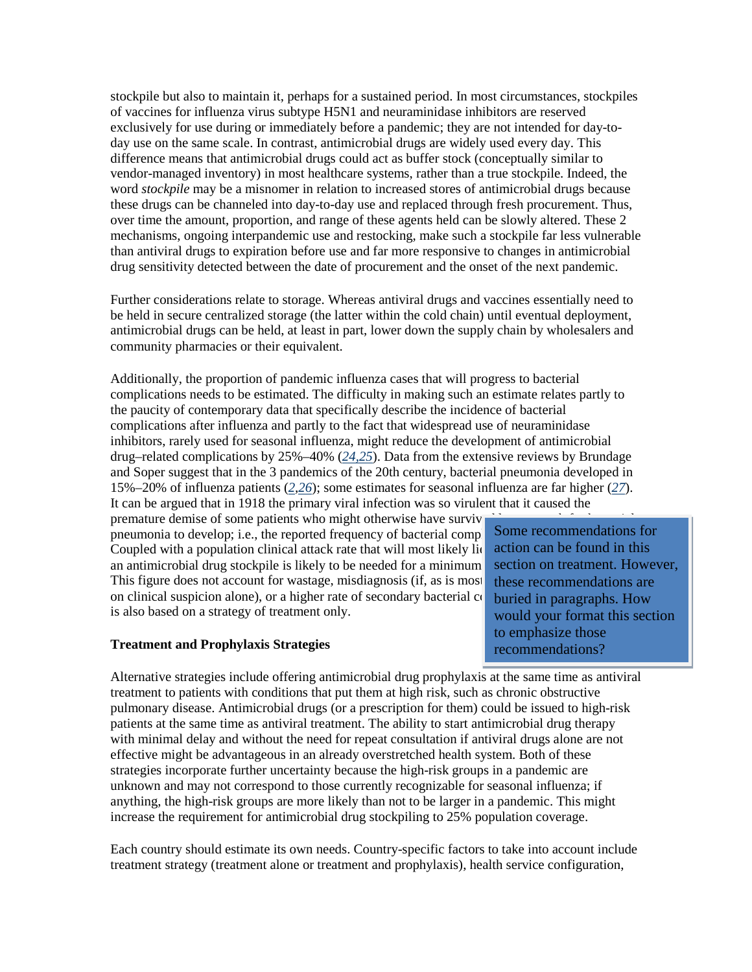stockpile but also to maintain it, perhaps for a sustained period. In most circumstances, stockpiles of vaccines for influenza virus subtype H5N1 and neuraminidase inhibitors are reserved exclusively for use during or immediately before a pandemic; they are not intended for day-today use on the same scale. In contrast, antimicrobial drugs are widely used every day. This difference means that antimicrobial drugs could act as buffer stock (conceptually similar to vendor-managed inventory) in most healthcare systems, rather than a true stockpile. Indeed, the word *stockpile* may be a misnomer in relation to increased stores of antimicrobial drugs because these drugs can be channeled into day-to-day use and replaced through fresh procurement. Thus, over time the amount, proportion, and range of these agents held can be slowly altered. These 2 mechanisms, ongoing interpandemic use and restocking, make such a stockpile far less vulnerable than antiviral drugs to expiration before use and far more responsive to changes in antimicrobial drug sensitivity detected between the date of procurement and the onset of the next pandemic.

Further considerations relate to storage. Whereas antiviral drugs and vaccines essentially need to be held in secure centralized storage (the latter within the cold chain) until eventual deployment, antimicrobial drugs can be held, at least in part, lower down the supply chain by wholesalers and community pharmacies or their equivalent.

Additionally, the proportion of pandemic influenza cases that will progress to bacterial complications needs to be estimated. The difficulty in making such an estimate relates partly to the paucity of contemporary data that specifically describe the incidence of bacterial complications after influenza and partly to the fact that widespread use of neuraminidase inhibitors, rarely used for seasonal influenza, might reduce the development of antimicrobial drug–related complications by 25%–40% (*[24,25](http://www.cdc.gov/eid/content/14/8/1187.htm#21#21)*). Data from the extensive reviews by Brundage and Soper suggest that in the 3 pandemics of the 20th century, bacterial pneumonia developed in 15%–20% of influenza patients (*[2,](http://www.cdc.gov/eid/content/14/8/1187.htm#1#1)[26](http://www.cdc.gov/eid/content/14/8/1187.htm#21#21)*); some estimates for seasonal influenza are far higher (*[27](http://www.cdc.gov/eid/content/14/8/1187.htm#21#21)*). It can be argued that in 1918 the primary viral infection was so virulent that it caused the

premature demise of some patients who might otherwise have surviv pneumonia to develop; i.e., the reported frequency of bacterial comp Coupled with a population clinical attack rate that will most likely light an antimicrobial drug stockpile is likely to be needed for a minimum This figure does not account for wastage, misdiagnosis (if, as is most on clinical suspicion alone), or a higher rate of secondary bacterial  $\alpha$ is also based on a strategy of treatment only.

#### **Treatment and Prophylaxis Strategies**

Some recommendations for action can be found in this section on treatment. However, these recommendations are buried in paragraphs. How would your format this section to emphasize those recommendations?

Alternative strategies include offering antimicrobial drug prophylaxis at the same time as antiviral treatment to patients with conditions that put them at high risk, such as chronic obstructive pulmonary disease. Antimicrobial drugs (or a prescription for them) could be issued to high-risk patients at the same time as antiviral treatment. The ability to start antimicrobial drug therapy with minimal delay and without the need for repeat consultation if antiviral drugs alone are not effective might be advantageous in an already overstretched health system. Both of these strategies incorporate further uncertainty because the high-risk groups in a pandemic are unknown and may not correspond to those currently recognizable for seasonal influenza; if anything, the high-risk groups are more likely than not to be larger in a pandemic. This might increase the requirement for antimicrobial drug stockpiling to 25% population coverage.

Each country should estimate its own needs. Country-specific factors to take into account include treatment strategy (treatment alone or treatment and prophylaxis), health service configuration,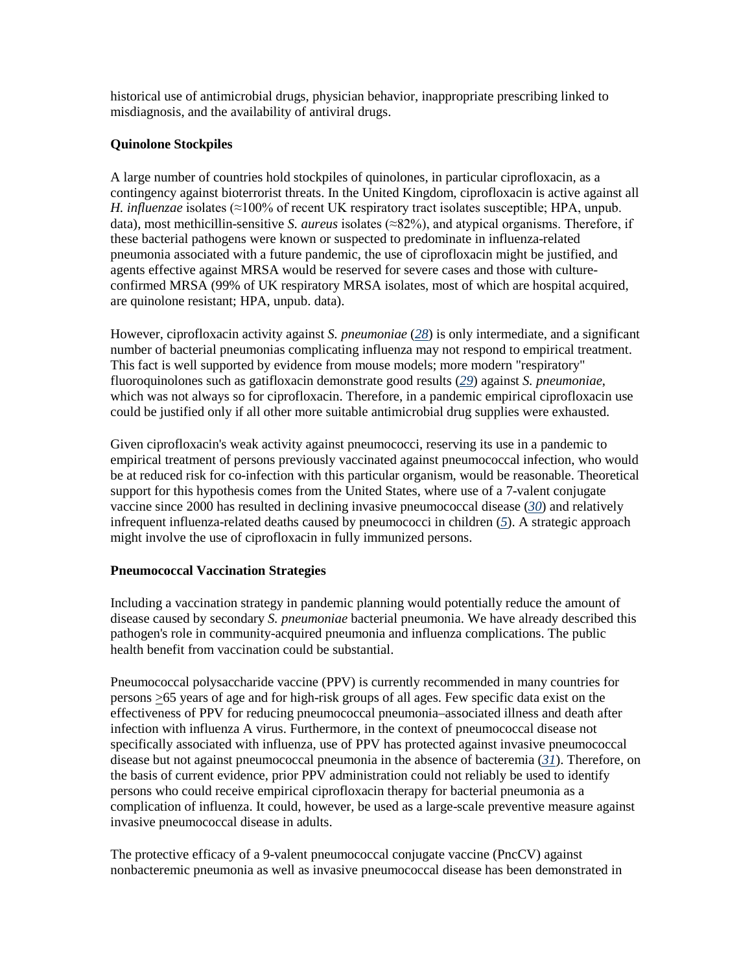historical use of antimicrobial drugs, physician behavior, inappropriate prescribing linked to misdiagnosis, and the availability of antiviral drugs.

## **Quinolone Stockpiles**

A large number of countries hold stockpiles of quinolones, in particular ciprofloxacin, as a contingency against bioterrorist threats. In the United Kingdom, ciprofloxacin is active against all *H. influenzae* isolates (≈100% of recent UK respiratory tract isolates susceptible; HPA, unpub. data), most methicillin-sensitive *S. aureus* isolates (≈82%), and atypical organisms. Therefore, if these bacterial pathogens were known or suspected to predominate in influenza-related pneumonia associated with a future pandemic, the use of ciprofloxacin might be justified, and agents effective against MRSA would be reserved for severe cases and those with cultureconfirmed MRSA (99% of UK respiratory MRSA isolates, most of which are hospital acquired, are quinolone resistant; HPA, unpub. data).

However, ciprofloxacin activity against *S. pneumoniae* (*[28](http://www.cdc.gov/eid/content/14/8/1187.htm#21#21)*) is only intermediate, and a significant number of bacterial pneumonias complicating influenza may not respond to empirical treatment. This fact is well supported by evidence from mouse models; more modern "respiratory" fluoroquinolones such as gatifloxacin demonstrate good results (*[29](http://www.cdc.gov/eid/content/14/8/1187.htm#21#21)*) against *S. pneumoniae*, which was not always so for ciprofloxacin. Therefore, in a pandemic empirical ciprofloxacin use could be justified only if all other more suitable antimicrobial drug supplies were exhausted.

Given ciprofloxacin's weak activity against pneumococci, reserving its use in a pandemic to empirical treatment of persons previously vaccinated against pneumococcal infection, who would be at reduced risk for co-infection with this particular organism, would be reasonable. Theoretical support for this hypothesis comes from the United States, where use of a 7-valent conjugate vaccine since 2000 has resulted in declining invasive pneumococcal disease (*[30](http://www.cdc.gov/eid/content/14/8/1187.htm#21#21)*) and relatively infrequent influenza-related deaths caused by pneumococci in children (*[5](http://www.cdc.gov/eid/content/14/8/1187.htm#1#1)*). A strategic approach might involve the use of ciprofloxacin in fully immunized persons.

## **Pneumococcal Vaccination Strategies**

Including a vaccination strategy in pandemic planning would potentially reduce the amount of disease caused by secondary *S. pneumoniae* bacterial pneumonia. We have already described this pathogen's role in community-acquired pneumonia and influenza complications. The public health benefit from vaccination could be substantial.

Pneumococcal polysaccharide vaccine (PPV) is currently recommended in many countries for persons >65 years of age and for high-risk groups of all ages. Few specific data exist on the effectiveness of PPV for reducing pneumococcal pneumonia–associated illness and death after infection with influenza A virus. Furthermore, in the context of pneumococcal disease not specifically associated with influenza, use of PPV has protected against invasive pneumococcal disease but not against pneumococcal pneumonia in the absence of bacteremia (*[31](http://www.cdc.gov/eid/content/14/8/1187.htm#31#31)*). Therefore, on the basis of current evidence, prior PPV administration could not reliably be used to identify persons who could receive empirical ciprofloxacin therapy for bacterial pneumonia as a complication of influenza. It could, however, be used as a large-scale preventive measure against invasive pneumococcal disease in adults.

The protective efficacy of a 9-valent pneumococcal conjugate vaccine (PncCV) against nonbacteremic pneumonia as well as invasive pneumococcal disease has been demonstrated in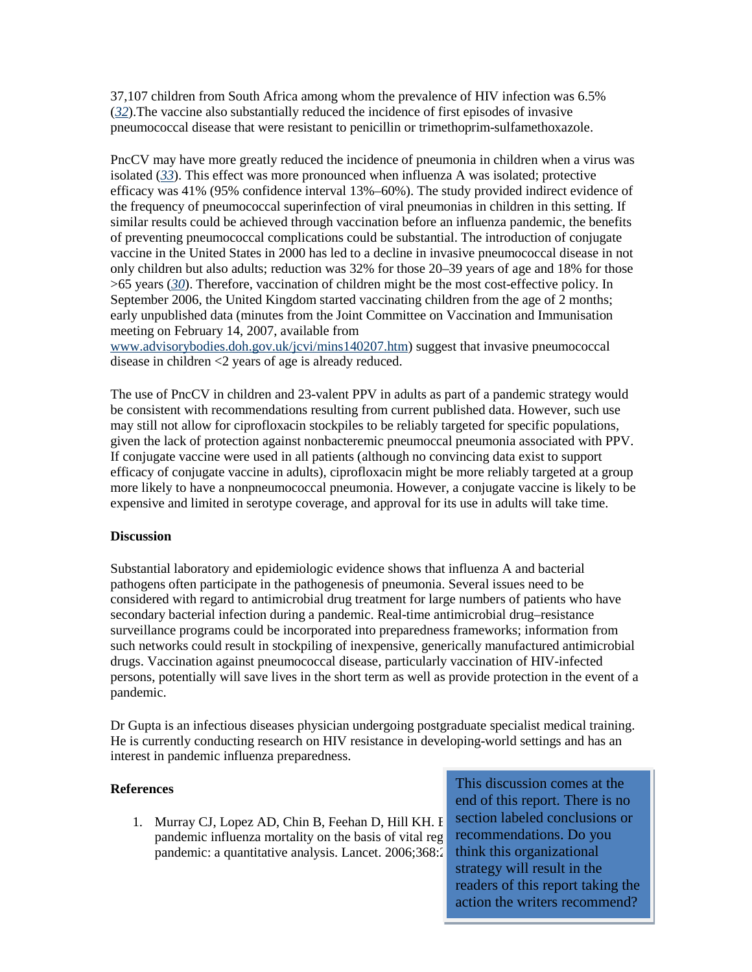37,107 children from South Africa among whom the prevalence of HIV infection was 6.5% (*[32](http://www.cdc.gov/eid/content/14/8/1187.htm#31#31)*).The vaccine also substantially reduced the incidence of first episodes of invasive pneumococcal disease that were resistant to penicillin or trimethoprim-sulfamethoxazole.

PncCV may have more greatly reduced the incidence of pneumonia in children when a virus was isolated (*[33](http://www.cdc.gov/eid/content/14/8/1187.htm#31#31)*). This effect was more pronounced when influenza A was isolated; protective efficacy was 41% (95% confidence interval 13%–60%). The study provided indirect evidence of the frequency of pneumococcal superinfection of viral pneumonias in children in this setting. If similar results could be achieved through vaccination before an influenza pandemic, the benefits of preventing pneumococcal complications could be substantial. The introduction of conjugate vaccine in the United States in 2000 has led to a decline in invasive pneumococcal disease in not only children but also adults; reduction was 32% for those 20–39 years of age and 18% for those >65 years (*[30](http://www.cdc.gov/eid/content/14/8/1187.htm#21#21)*). Therefore, vaccination of children might be the most cost-effective policy. In September 2006, the United Kingdom started vaccinating children from the age of 2 months; early unpublished data (minutes from the Joint Committee on Vaccination and Immunisation meeting on February 14, 2007, available from

[www.advisorybodies.doh.gov.uk/jcvi/mins140207.htm\)](http://www.advisorybodies.doh.gov.uk/jcvi/mins140207.htm) suggest that invasive pneumococcal disease in children <2 years of age is already reduced.

The use of PncCV in children and 23-valent PPV in adults as part of a pandemic strategy would be consistent with recommendations resulting from current published data. However, such use may still not allow for ciprofloxacin stockpiles to be reliably targeted for specific populations, given the lack of protection against nonbacteremic pneumoccal pneumonia associated with PPV. If conjugate vaccine were used in all patients (although no convincing data exist to support efficacy of conjugate vaccine in adults), ciprofloxacin might be more reliably targeted at a group more likely to have a nonpneumococcal pneumonia. However, a conjugate vaccine is likely to be expensive and limited in serotype coverage, and approval for its use in adults will take time.

## **Discussion**

Substantial laboratory and epidemiologic evidence shows that influenza A and bacterial pathogens often participate in the pathogenesis of pneumonia. Several issues need to be considered with regard to antimicrobial drug treatment for large numbers of patients who have secondary bacterial infection during a pandemic. Real-time antimicrobial drug–resistance surveillance programs could be incorporated into preparedness frameworks; information from such networks could result in stockpiling of inexpensive, generically manufactured antimicrobial drugs. Vaccination against pneumococcal disease, particularly vaccination of HIV-infected persons, potentially will save lives in the short term as well as provide protection in the event of a pandemic.

Dr Gupta is an infectious diseases physician undergoing postgraduate specialist medical training. He is currently conducting research on HIV resistance in developing-world settings and has an interest in pandemic influenza preparedness.

## **References**

1. Murray CJ, Lopez AD, Chin B, Feehan D, Hill KH. E pandemic influenza mortality on the basis of vital reg pandemic: a quantitative analysis. Lancet.  $2006;368:2$ 

This discussion comes at the end of this report. There is no section labeled conclusions or recommendations. Do you thin[k this org](http://www.ncbi.nlm.nih.gov/sites/entrez?cmd=Retrieve&db=PubMed&list_uids=17189032&dopt=Abstract)[aniza](http://dx.doi.org/10.1016/S0140-6736(06)69895-4)tional strategy will result in the readers of this report taking the action the writers recommend?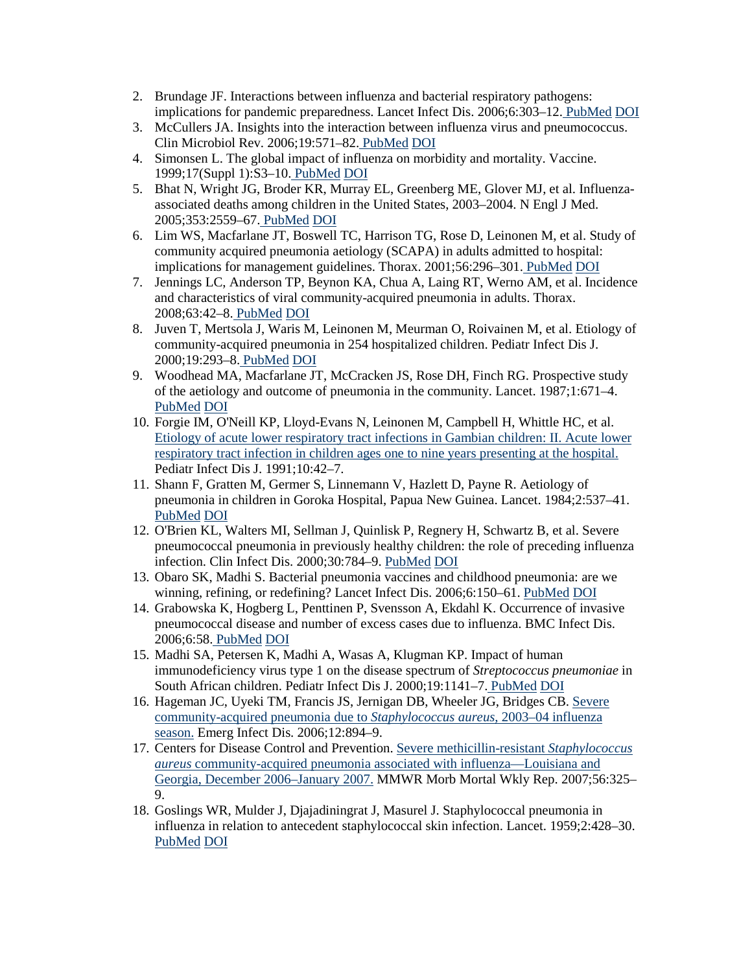- 2. Brundage JF. Interactions between influenza and bacterial respiratory pathogens: implications for pandemic preparedness. Lancet Infect Dis. 2006;6:303–12. [PubMed](http://www.ncbi.nlm.nih.gov/sites/entrez?cmd=Retrieve&db=PubMed&list_uids=16631551&dopt=Abstract) [DOI](http://dx.doi.org/10.1016/S1473-3099(06)70466-2)
- 3. McCullers JA. Insights into the interaction between influenza virus and pneumococcus. Clin Microbiol Rev. 2006;19:571–82. [PubMed](http://www.ncbi.nlm.nih.gov/sites/entrez?cmd=Retrieve&db=PubMed&list_uids=16847087&dopt=Abstract) [DOI](http://dx.doi.org/10.1128/CMR.00058-05)
- 4. Simonsen L. The global impact of influenza on morbidity and mortality. Vaccine. 1999;17(Suppl 1):S3–10. [PubMed](http://www.ncbi.nlm.nih.gov/sites/entrez?cmd=Retrieve&db=PubMed&list_uids=10471173&dopt=Abstract) [DOI](http://dx.doi.org/10.1016/S0264-410X(99)00099-7)
- 5. Bhat N, Wright JG, Broder KR, Murray EL, Greenberg ME, Glover MJ, et al. Influenzaassociated deaths among children in the United States, 2003–2004. N Engl J Med. 2005;353:2559–67. [PubMed](http://www.ncbi.nlm.nih.gov/sites/entrez?cmd=Retrieve&db=PubMed&list_uids=16354892&dopt=Abstract) [DOI](http://dx.doi.org/10.1056/NEJMoa051721)
- 6. Lim WS, Macfarlane JT, Boswell TC, Harrison TG, Rose D, Leinonen M, et al. Study of community acquired pneumonia aetiology (SCAPA) in adults admitted to hospital: implications for management guidelines. Thorax. 2001;56:296–301. [PubMed](http://www.ncbi.nlm.nih.gov/sites/entrez?cmd=Retrieve&db=PubMed&list_uids=11254821&dopt=Abstract) [DOI](http://dx.doi.org/10.1136/thorax.56.4.296)
- 7. Jennings LC, Anderson TP, Beynon KA, Chua A, Laing RT, Werno AM, et al. Incidence and characteristics of viral community-acquired pneumonia in adults. Thorax. 2008;63:42–8. [PubMed](http://www.ncbi.nlm.nih.gov/sites/entrez?cmd=Retrieve&db=PubMed&list_uids=17573440&dopt=Abstract) [DOI](http://dx.doi.org/10.1136/thx.2006.075077)
- 8. Juven T, Mertsola J, Waris M, Leinonen M, Meurman O, Roivainen M, et al. Etiology of community-acquired pneumonia in 254 hospitalized children. Pediatr Infect Dis J. 2000;19:293–8. [PubMed](http://www.ncbi.nlm.nih.gov/sites/entrez?cmd=Retrieve&db=PubMed&list_uids=10783017&dopt=Abstract) [DOI](http://dx.doi.org/10.1097/00006454-200004000-00006)
- 9. Woodhead MA, Macfarlane JT, McCracken JS, Rose DH, Finch RG. Prospective study of the aetiology and outcome of pneumonia in the community. Lancet. 1987;1:671–4[.](http://www.ncbi.nlm.nih.gov/sites/entrez?cmd=Retrieve&db=PubMed&list_uids=2882091&dopt=Abstract) [PubMed](http://www.ncbi.nlm.nih.gov/sites/entrez?cmd=Retrieve&db=PubMed&list_uids=2882091&dopt=Abstract) [DOI](http://dx.doi.org/10.1016/S0140-6736(87)90430-2)
- 10. Forgie IM, O'Neill KP, Lloyd-Evans N, Leinonen M, Campbell H, Whittle HC, et al. [Etiology of acute lower respiratory tract infections in Gambian children: II. Acute lower](http://www.ncbi.nlm.nih.gov/sites/entrez?cmd=Retrieve&db=PubMed&list_uids=2003054&dopt=Abstract)  [respiratory tract infection in children ages one to nine years presenting at the hospital.](http://www.ncbi.nlm.nih.gov/sites/entrez?cmd=Retrieve&db=PubMed&list_uids=2003054&dopt=Abstract) Pediatr Infect Dis J. 1991;10:42–7.
- 11. Shann F, Gratten M, Germer S, Linnemann V, Hazlett D, Payne R. Aetiology of pneumonia in children in Goroka Hospital, Papua New Guinea. Lancet. 1984;2:537–41. [PubMed](http://www.ncbi.nlm.nih.gov/sites/entrez?cmd=Retrieve&db=PubMed&list_uids=6147602&dopt=Abstract) [DOI](http://dx.doi.org/10.1016/S0140-6736(84)90764-5)
- 12. O'Brien KL, Walters MI, Sellman J, Quinlisk P, Regnery H, Schwartz B, et al. Severe pneumococcal pneumonia in previously healthy children: the role of preceding influenza infection. Clin Infect Dis. 2000;30:784–9. [PubMed](http://www.ncbi.nlm.nih.gov/sites/entrez?cmd=Retrieve&db=PubMed&list_uids=10816149&dopt=Abstract) [DOI](http://dx.doi.org/10.1086/313772)
- 13. Obaro SK, Madhi S. Bacterial pneumonia vaccines and childhood pneumonia: are we winning, refining, or redefining? Lancet Infect Dis. 2006;6:150–61. [PubMed](http://www.ncbi.nlm.nih.gov/sites/entrez?cmd=Retrieve&db=PubMed&list_uids=16500596&dopt=Abstract) [DOI](http://dx.doi.org/10.1016/S1473-3099(06)70411-X)
- 14. Grabowska K, Hogberg L, Penttinen P, Svensson A, Ekdahl K. Occurrence of invasive pneumococcal disease and number of excess cases due to influenza. BMC Infect Dis. 2006;6:58. [PubMed](http://www.ncbi.nlm.nih.gov/sites/entrez?cmd=Retrieve&db=PubMed&list_uids=16549029&dopt=Abstract) [DOI](http://dx.doi.org/10.1186/1471-2334-6-58)
- 15. Madhi SA, Petersen K, Madhi A, Wasas A, Klugman KP. Impact of human immunodeficiency virus type 1 on the disease spectrum of *Streptococcus pneumoniae* in South African children. Pediatr Infect Dis J. 2000;19:1141–7. [PubMed](http://www.ncbi.nlm.nih.gov/sites/entrez?cmd=Retrieve&db=PubMed&list_uids=11144373&dopt=Abstract) [DOI](http://dx.doi.org/10.1097/00006454-200012000-00004)
- 16. Hageman JC, Uyeki TM, Francis JS, Jernigan DB, Wheeler JG, Bridges CB. [Severe](http://www.ncbi.nlm.nih.gov/sites/entrez?cmd=Retrieve&db=PubMed&list_uids=16707043&dopt=Abstract)  [community-acquired pneumonia due to](http://www.ncbi.nlm.nih.gov/sites/entrez?cmd=Retrieve&db=PubMed&list_uids=16707043&dopt=Abstract) *Staphylococcus aureus*, 2003–04 influenza [season.](http://www.ncbi.nlm.nih.gov/sites/entrez?cmd=Retrieve&db=PubMed&list_uids=16707043&dopt=Abstract) Emerg Infect Dis. 2006;12:894–9.
- 17. Centers for Disease Control and Prevention. [Severe methicillin-resistant](http://www.ncbi.nlm.nih.gov/sites/entrez?cmd=Retrieve&db=PubMed&list_uids=17431376&dopt=Abstract) *Staphylococcus aureus* [community-acquired pneumonia associated with influenza—Louisiana and](http://www.ncbi.nlm.nih.gov/sites/entrez?cmd=Retrieve&db=PubMed&list_uids=17431376&dopt=Abstract)  [Georgia, December 2006–January 2007.](http://www.ncbi.nlm.nih.gov/sites/entrez?cmd=Retrieve&db=PubMed&list_uids=17431376&dopt=Abstract) MMWR Morb Mortal Wkly Rep. 2007;56:325– 9.
- 18. Goslings WR, Mulder J, Djajadiningrat J, Masurel J. Staphylococcal pneumonia in influenza in relation to antecedent staphylococcal skin infection. Lancet. 1959;2:428–30[.](http://www.ncbi.nlm.nih.gov/sites/entrez?cmd=Retrieve&db=PubMed&list_uids=13851372&dopt=Abstract) [PubMed](http://www.ncbi.nlm.nih.gov/sites/entrez?cmd=Retrieve&db=PubMed&list_uids=13851372&dopt=Abstract) [DOI](http://dx.doi.org/10.1016/S0140-6736(59)90417-9)